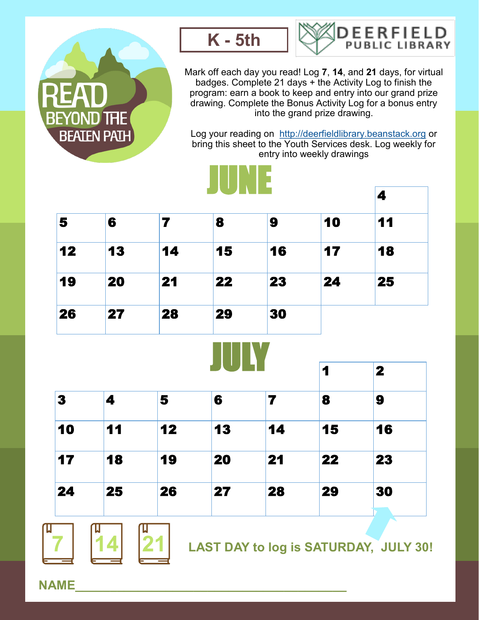

П



JUNE



Mark off each day you read! Log **7**, **14**, and **21** days, for virtual badges. Complete 21 days + the Activity Log to finish the program: earn a book to keep and entry into our grand prize drawing. Complete the Bonus Activity Log for a bonus entry into the grand prize drawing.

Log your reading on <http://deerfieldlibrary.beanstack.org> or bring this sheet to the Youth Services desk. Log weekly for entry into weekly drawings

|               |    |    |    |                         |    | 4            |
|---------------|----|----|----|-------------------------|----|--------------|
| 5             | 6  | 7  | 8  | 9                       | 10 | 11           |
| 12            | 13 | 14 | 15 | 16                      | 17 | 18           |
| 19            | 20 | 21 | 22 | 23                      | 24 | 25           |
| 26            | 27 | 28 | 29 | 30                      |    |              |
|               |    |    |    |                         |    |              |
|               |    |    |    |                         | 1  | $\mathbf{2}$ |
|               | 4  | 5  | 6  | $\overline{\mathbf{z}}$ | 8  | 9            |
|               | 11 | 12 | 13 | 14                      | 15 | 16           |
| 3<br>10<br>17 | 18 | 19 | 20 | 21                      | 22 | 23           |

**NAME\_\_\_\_\_\_\_\_\_\_\_\_\_\_\_\_\_\_\_\_\_\_\_\_\_\_\_\_\_\_\_\_\_\_\_\_\_\_\_**